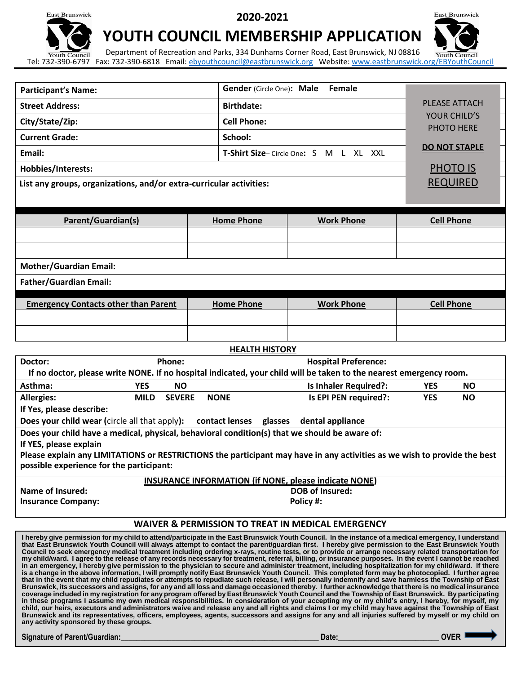**East Brunswick** 

**2020-2021**



## **YOUTH COUNCIL MEMBERSHIP APPLICATION**

Department of Recreation and Parks, 334 Dunhams Corner Road, East Brunswick, NJ 08816 Youth Council Youth Council Tel: 732-390-6797 Fax: 732-390-6818 Email: [ebyouthcouncil@eastbrunswick.org](mailto:ebyouthcouncil@eastbrunswick.org) Website[: www.eastbrunswick.org/](http://www.eastbrunswick.org/)EBYouthCouncil

|                                                                                                                          |             |                                        | <b>Female</b>                                                |            |                      |  |
|--------------------------------------------------------------------------------------------------------------------------|-------------|----------------------------------------|--------------------------------------------------------------|------------|----------------------|--|
| <b>Participant's Name:</b>                                                                                               |             | Gender (Circle One): Male              |                                                              |            |                      |  |
| <b>Street Address:</b>                                                                                                   |             | <b>Birthdate:</b>                      | <b>PLEASE ATTACH</b>                                         |            |                      |  |
| City/State/Zip:                                                                                                          |             | <b>Cell Phone:</b>                     |                                                              |            | YOUR CHILD'S         |  |
| <b>Current Grade:</b>                                                                                                    |             | School:                                |                                                              | PHOTO HERE |                      |  |
| Email:                                                                                                                   |             |                                        | T-Shirt Size-Circle One: S M L XL XXL                        |            | <b>DO NOT STAPLE</b> |  |
| Hobbies/Interests:                                                                                                       |             |                                        |                                                              |            | <b>PHOTO IS</b>      |  |
| List any groups, organizations, and/or extra-curricular activities:                                                      |             |                                        |                                                              |            | <b>REQUIRED</b>      |  |
|                                                                                                                          |             |                                        |                                                              |            |                      |  |
|                                                                                                                          |             |                                        |                                                              |            |                      |  |
| Parent/Guardian(s)                                                                                                       |             | <b>Home Phone</b><br><b>Work Phone</b> |                                                              |            | <b>Cell Phone</b>    |  |
|                                                                                                                          |             |                                        |                                                              |            |                      |  |
|                                                                                                                          |             |                                        |                                                              |            |                      |  |
| <b>Mother/Guardian Email:</b>                                                                                            |             |                                        |                                                              |            |                      |  |
| <b>Father/Guardian Email:</b>                                                                                            |             |                                        |                                                              |            |                      |  |
| <b>Emergency Contacts other than Parent</b>                                                                              |             | <b>Home Phone</b>                      | <b>Work Phone</b>                                            |            | <b>Cell Phone</b>    |  |
|                                                                                                                          |             |                                        |                                                              |            |                      |  |
|                                                                                                                          |             |                                        |                                                              |            |                      |  |
|                                                                                                                          |             |                                        |                                                              |            |                      |  |
| <b>HEALTH HISTORY</b><br>Phone:<br><b>Hospital Preference:</b><br>Doctor:                                                |             |                                        |                                                              |            |                      |  |
| If no doctor, please write NONE. If no hospital indicated, your child will be taken to the nearest emergency room.       |             |                                        |                                                              |            |                      |  |
| Asthma:<br><b>YES</b><br><b>NO</b>                                                                                       |             |                                        | <b>Is Inhaler Required?:</b>                                 | <b>YES</b> | <b>NO</b>            |  |
| <b>Allergies:</b><br><b>MILD</b><br><b>SEVERE</b>                                                                        | <b>NONE</b> |                                        | Is EPI PEN required?:                                        | <b>YES</b> | <b>NO</b>            |  |
| If Yes, please describe:<br>Does your child wear (circle all that apply):                                                |             |                                        | contact lenses glasses dental appliance                      |            |                      |  |
| Does your child have a medical, physical, behavioral condition(s) that we should be aware of:                            |             |                                        |                                                              |            |                      |  |
| If YES, please explain                                                                                                   |             |                                        |                                                              |            |                      |  |
| Please explain any LIMITATIONS or RESTRICTIONS the participant may have in any activities as we wish to provide the best |             |                                        |                                                              |            |                      |  |
| possible experience for the participant:                                                                                 |             |                                        |                                                              |            |                      |  |
| <b>INSURANCE INFORMATION (if NONE, please indicate NONE)</b><br><b>DOB of Insured:</b>                                   |             |                                        |                                                              |            |                      |  |
| <b>Name of Insured:</b><br><b>Insurance Company:</b>                                                                     | Policy #:   |                                        |                                                              |            |                      |  |
|                                                                                                                          |             |                                        |                                                              |            |                      |  |
|                                                                                                                          |             |                                        | <b>WAIVER &amp; PERMISSION TO TREAT IN MEDICAL EMERGENCY</b> |            |                      |  |
|                                                                                                                          |             |                                        |                                                              |            |                      |  |

**I hereby give permission for my child to attend/participate in the East Brunswick Youth Council. In the instance of a medical emergency, I understand that East Brunswick Youth Council will always attempt to contact the parent/guardian first. I hereby give permission to the East Brunswick Youth Council to seek emergency medical treatment including ordering x-rays, routine tests, or to provide or arrange necessary related transportation for my child/ward. I agree to the release of any records necessary for treatment, referral, billing, or insurance purposes. In the event I cannot be reached in an emergency, I hereby give permission to the physician to secure and administer treatment, including hospitalization for my child/ward. If there is a change in the above information, I will promptly notify East Brunswick Youth Council. This completed form may be photocopied. I further agree that in the event that my child repudiates or attempts to repudiate such release, I will personally indemnify and save harmless the Township of East Brunswick, its successors and assigns, for any and all loss and damage occasioned thereby. I further acknowledge that there is no medical insurance coverage included in my registration for any program offered by East Brunswick Youth Council and the Township of East Brunswick. By participating in these programs I assume my own medical responsibilities. In consideration of your accepting my or my child's entry, I hereby, for myself, my child, our heirs, executors and administrators waive and release any and all rights and claims I or my child may have against the Township of East Brunswick and its representatives, officers, employees, agents, successors and assigns for any and all injuries suffered by myself or my child on any activity sponsored by these groups.** 

#### **Signature of Parent/Guardian:\_\_\_\_\_\_\_\_\_\_\_\_\_\_\_\_\_\_\_\_\_\_\_\_\_\_\_\_\_\_\_\_\_\_\_\_\_\_\_\_\_\_\_\_\_\_\_\_\_\_\_ Date:\_\_\_\_\_\_\_\_\_\_\_\_\_\_\_\_\_\_\_\_\_\_\_\_\_\_ OVER**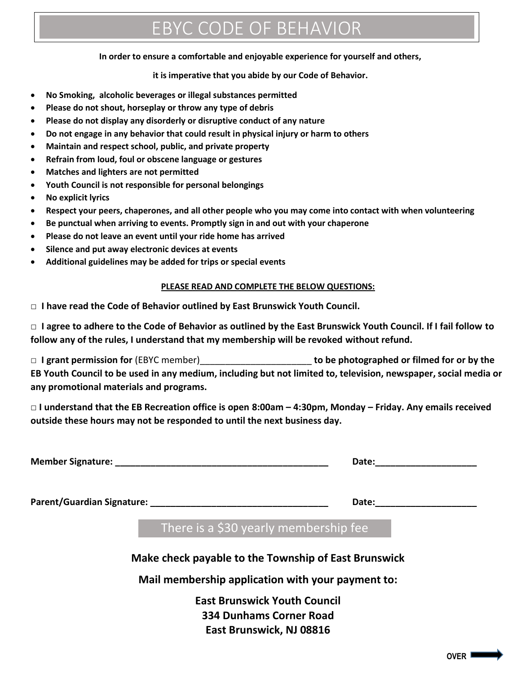# EBYC CODE OF BEHAVIOR

#### **In order to ensure a comfortable and enjoyable experience for yourself and others,**

#### **it is imperative that you abide by our Code of Behavior.**

- **No Smoking, alcoholic beverages or illegal substances permitted**
- **Please do not shout, horseplay or throw any type of debris**
- **Please do not display any disorderly or disruptive conduct of any nature**
- **Do not engage in any behavior that could result in physical injury or harm to others**
- **Maintain and respect school, public, and private property**
- **Refrain from loud, foul or obscene language or gestures**
- **Matches and lighters are not permitted**
- **Youth Council is not responsible for personal belongings**
- **No explicit lyrics**
- **Respect your peers, chaperones, and all other people who you may come into contact with when volunteering**
- **Be punctual when arriving to events. Promptly sign in and out with your chaperone**
- **Please do not leave an event until your ride home has arrived**
- **Silence and put away electronic devices at events**
- **Additional guidelines may be added for trips or special events**

#### **PLEASE READ AND COMPLETE THE BELOW QUESTIONS:**

**□ I have read the Code of Behavior outlined by East Brunswick Youth Council.**

**□ I agree to adhere to the Code of Behavior as outlined by the East Brunswick Youth Council. If I fail follow to follow any of the rules, I understand that my membership will be revoked without refund.**

**□ I grant permission for** (EBYC member)\_\_\_\_\_\_\_\_\_\_\_\_\_\_\_\_\_\_\_\_\_\_ **to be photographed or filmed for or by the EB Youth Council to be used in any medium, including but not limited to, television, newspaper, social media or any promotional materials and programs.**

**□ I understand that the EB Recreation office is open 8:00am – 4:30pm, Monday – Friday. Any emails received outside these hours may not be responded to until the next business day.**

| <b>Member Signature:</b> | <b>Date</b> |
|--------------------------|-------------|
|--------------------------|-------------|

**Parent/Guardian Signature: Letter and Support and Security Contracts and Security Contracts and Security Contracts and Security Contracts and Security Contracts and Security Contracts and Security Contracts and Secu** 

There is a \$30 yearly membership fee

**Make check payable to the Township of East Brunswick**

**Mail membership application with your payment to:**

**East Brunswick Youth Council 334 Dunhams Corner Road East Brunswick, NJ 08816**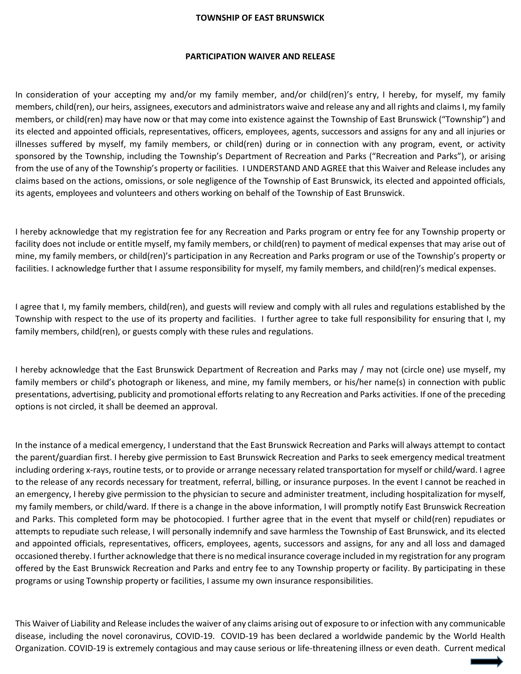#### **TOWNSHIP OF EAST BRUNSWICK**

#### **PARTICIPATION WAIVER AND RELEASE**

In consideration of your accepting my and/or my family member, and/or child(ren)'s entry, I hereby, for myself, my family members, child(ren), our heirs, assignees, executors and administrators waive and release any and all rights and claims I, my family members, or child(ren) may have now or that may come into existence against the Township of East Brunswick ("Township") and its elected and appointed officials, representatives, officers, employees, agents, successors and assigns for any and all injuries or illnesses suffered by myself, my family members, or child(ren) during or in connection with any program, event, or activity sponsored by the Township, including the Township's Department of Recreation and Parks ("Recreation and Parks"), or arising from the use of any of the Township's property or facilities. I UNDERSTAND AND AGREE that this Waiver and Release includes any claims based on the actions, omissions, or sole negligence of the Township of East Brunswick, its elected and appointed officials, its agents, employees and volunteers and others working on behalf of the Township of East Brunswick.

I hereby acknowledge that my registration fee for any Recreation and Parks program or entry fee for any Township property or facility does not include or entitle myself, my family members, or child(ren) to payment of medical expenses that may arise out of mine, my family members, or child(ren)'s participation in any Recreation and Parks program or use of the Township's property or facilities. I acknowledge further that I assume responsibility for myself, my family members, and child(ren)'s medical expenses.

I agree that I, my family members, child(ren), and guests will review and comply with all rules and regulations established by the Township with respect to the use of its property and facilities. I further agree to take full responsibility for ensuring that I, my family members, child(ren), or guests comply with these rules and regulations.

I hereby acknowledge that the East Brunswick Department of Recreation and Parks may / may not (circle one) use myself, my family members or child's photograph or likeness, and mine, my family members, or his/her name(s) in connection with public presentations, advertising, publicity and promotional efforts relating to any Recreation and Parks activities. If one of the preceding options is not circled, it shall be deemed an approval.

In the instance of a medical emergency, I understand that the East Brunswick Recreation and Parks will always attempt to contact the parent/guardian first. I hereby give permission to East Brunswick Recreation and Parks to seek emergency medical treatment including ordering x-rays, routine tests, or to provide or arrange necessary related transportation for myself or child/ward. I agree to the release of any records necessary for treatment, referral, billing, or insurance purposes. In the event I cannot be reached in an emergency, I hereby give permission to the physician to secure and administer treatment, including hospitalization for myself, my family members, or child/ward. If there is a change in the above information, I will promptly notify East Brunswick Recreation and Parks. This completed form may be photocopied. I further agree that in the event that myself or child(ren) repudiates or attempts to repudiate such release, I will personally indemnify and save harmless the Township of East Brunswick, and its elected and appointed officials, representatives, officers, employees, agents, successors and assigns, for any and all loss and damaged occasioned thereby. I further acknowledge that there is no medical insurance coverage included in my registration for any program offered by the East Brunswick Recreation and Parks and entry fee to any Township property or facility. By participating in these programs or using Township property or facilities, I assume my own insurance responsibilities.

This Waiver of Liability and Release includes the waiver of any claims arising out of exposure to or infection with any communicable disease, including the novel coronavirus, COVID-19. COVID-19 has been declared a worldwide pandemic by the World Health Organization. COVID-19 is extremely contagious and may cause serious or life-threatening illness or even death. Current medical